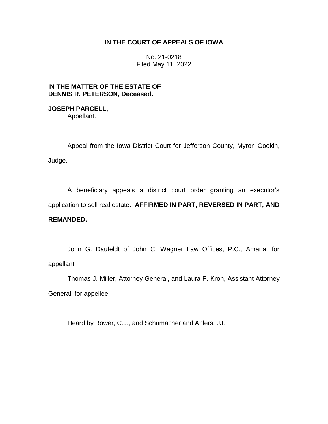## **IN THE COURT OF APPEALS OF IOWA**

No. 21-0218 Filed May 11, 2022

# **IN THE MATTER OF THE ESTATE OF DENNIS R. PETERSON, Deceased.**

**JOSEPH PARCELL,** Appellant. \_\_\_\_\_\_\_\_\_\_\_\_\_\_\_\_\_\_\_\_\_\_\_\_\_\_\_\_\_\_\_\_\_\_\_\_\_\_\_\_\_\_\_\_\_\_\_\_\_\_\_\_\_\_\_\_\_\_\_\_\_\_\_\_

Appeal from the Iowa District Court for Jefferson County, Myron Gookin, Judge.

A beneficiary appeals a district court order granting an executor's application to sell real estate. **AFFIRMED IN PART, REVERSED IN PART, AND REMANDED.**

John G. Daufeldt of John C. Wagner Law Offices, P.C., Amana, for appellant.

Thomas J. Miller, Attorney General, and Laura F. Kron, Assistant Attorney General, for appellee.

Heard by Bower, C.J., and Schumacher and Ahlers, JJ.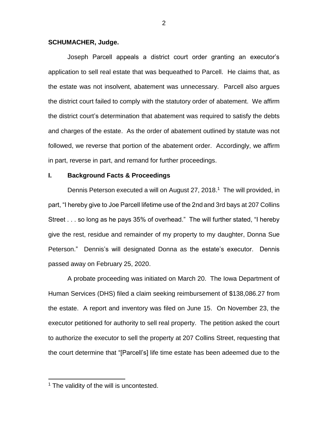#### **SCHUMACHER, Judge.**

Joseph Parcell appeals a district court order granting an executor's application to sell real estate that was bequeathed to Parcell. He claims that, as the estate was not insolvent, abatement was unnecessary. Parcell also argues the district court failed to comply with the statutory order of abatement. We affirm the district court's determination that abatement was required to satisfy the debts and charges of the estate. As the order of abatement outlined by statute was not followed, we reverse that portion of the abatement order. Accordingly, we affirm in part, reverse in part, and remand for further proceedings.

## **I. Background Facts & Proceedings**

Dennis Peterson executed a will on August 27, 2018.<sup>1</sup> The will provided, in part, "I hereby give to Joe Parcell lifetime use of the 2nd and 3rd bays at 207 Collins Street . . . so long as he pays 35% of overhead." The will further stated, "I hereby give the rest, residue and remainder of my property to my daughter, Donna Sue Peterson." Dennis's will designated Donna as the estate's executor. Dennis passed away on February 25, 2020.

A probate proceeding was initiated on March 20. The Iowa Department of Human Services (DHS) filed a claim seeking reimbursement of \$138,086.27 from the estate. A report and inventory was filed on June 15. On November 23, the executor petitioned for authority to sell real property. The petition asked the court to authorize the executor to sell the property at 207 Collins Street, requesting that the court determine that "[Parcell's] life time estate has been adeemed due to the

 $\overline{a}$ 

 $1$  The validity of the will is uncontested.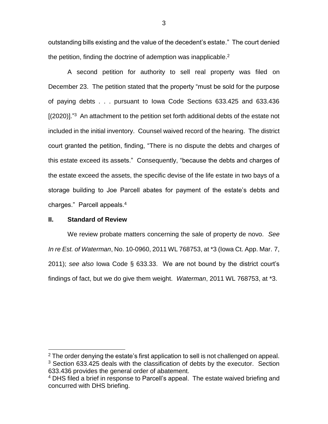outstanding bills existing and the value of the decedent's estate." The court denied the petition, finding the doctrine of ademption was inapplicable.<sup>2</sup>

A second petition for authority to sell real property was filed on December 23. The petition stated that the property "must be sold for the purpose of paying debts . . . pursuant to Iowa Code Sections 633.425 and 633.436  $[(2020)]$ .<sup>"3</sup> An attachment to the petition set forth additional debts of the estate not included in the initial inventory. Counsel waived record of the hearing. The district court granted the petition, finding, "There is no dispute the debts and charges of this estate exceed its assets." Consequently, "because the debts and charges of the estate exceed the assets, the specific devise of the life estate in two bays of a storage building to Joe Parcell abates for payment of the estate's debts and charges." Parcell appeals.<sup>4</sup>

## **II. Standard of Review**

 $\overline{a}$ 

We review probate matters concerning the sale of property de novo. *See In re Est. of Waterman*, No. 10-0960, 2011 WL 768753, at \*3 (Iowa Ct. App. Mar. 7, 2011); *see also* Iowa Code § 633.33. We are not bound by the district court's findings of fact, but we do give them weight. *Waterman*, 2011 WL 768753, at \*3.

 $2$  The order denying the estate's first application to sell is not challenged on appeal.  $3$  Section 633.425 deals with the classification of debts by the executor. Section 633.436 provides the general order of abatement.

<sup>&</sup>lt;sup>4</sup> DHS filed a brief in response to Parcell's appeal. The estate waived briefing and concurred with DHS briefing.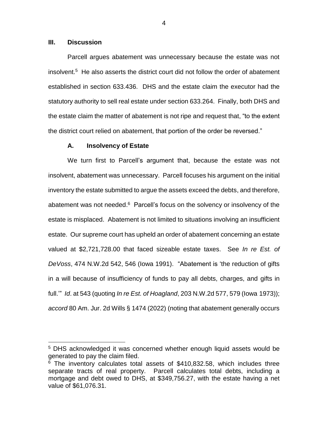## **III. Discussion**

 $\overline{a}$ 

Parcell argues abatement was unnecessary because the estate was not  $insolvent<sup>5</sup>$  He also asserts the district court did not follow the order of abatement established in section 633.436. DHS and the estate claim the executor had the statutory authority to sell real estate under section 633.264. Finally, both DHS and the estate claim the matter of abatement is not ripe and request that, "to the extent the district court relied on abatement, that portion of the order be reversed."

#### **A. Insolvency of Estate**

We turn first to Parcell's argument that, because the estate was not insolvent, abatement was unnecessary. Parcell focuses his argument on the initial inventory the estate submitted to argue the assets exceed the debts, and therefore, abatement was not needed. <sup>6</sup> Parcell's focus on the solvency or insolvency of the estate is misplaced. Abatement is not limited to situations involving an insufficient estate. Our supreme court has upheld an order of abatement concerning an estate valued at \$2,721,728.00 that faced sizeable estate taxes. See *In re Est. of DeVoss*, 474 N.W.2d 542, 546 (Iowa 1991). "Abatement is 'the reduction of gifts in a will because of insufficiency of funds to pay all debts, charges, and gifts in full.'" *Id*. at 543 (quoting *In re Est. of Hoagland*, 203 N.W.2d 577, 579 (Iowa 1973)); *accord* 80 Am. Jur. 2d Wills § 1474 (2022) (noting that abatement generally occurs

4

<sup>5</sup> DHS acknowledged it was concerned whether enough liquid assets would be generated to pay the claim filed.

 $6$  The inventory calculates total assets of \$410,832.58, which includes three separate tracts of real property. Parcell calculates total debts, including a mortgage and debt owed to DHS, at \$349,756.27, with the estate having a net value of \$61,076.31.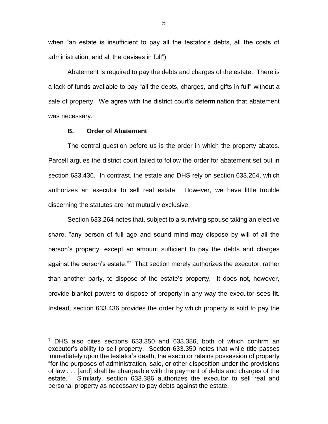when "an estate is insufficient to pay all the testator's debts, all the costs of administration, and all the devises in full")

Abatement is required to pay the debts and charges of the estate. There is a lack of funds available to pay "all the debts, charges, and gifts in full" without a sale of property. We agree with the district court's determination that abatement was necessary.

## **B. Order of Abatement**

 $\overline{a}$ 

The central question before us is the order in which the property abates. Parcell argues the district court failed to follow the order for abatement set out in section 633.436. In contrast, the estate and DHS rely on section 633.264, which authorizes an executor to sell real estate. However, we have little trouble discerning the statutes are not mutually exclusive.

Section 633.264 notes that, subject to a surviving spouse taking an elective share, "any person of full age and sound mind may dispose by will of all the person's property, except an amount sufficient to pay the debts and charges against the person's estate."<sup>7</sup> That section merely authorizes the executor, rather than another party, to dispose of the estate's property. It does not, however, provide blanket powers to dispose of property in any way the executor sees fit. Instead, section 633.436 provides the order by which property is sold to pay the

 $7$  DHS also cites sections 633.350 and 633.386, both of which confirm an executor's ability to sell property. Section 633.350 notes that while title passes immediately upon the testator's death, the executor retains possession of property "for the purposes of administration, sale, or other disposition under the provisions of law . . . [and] shall be chargeable with the payment of debts and charges of the estate." Similarly, section 633.386 authorizes the executor to sell real and personal property as necessary to pay debts against the estate.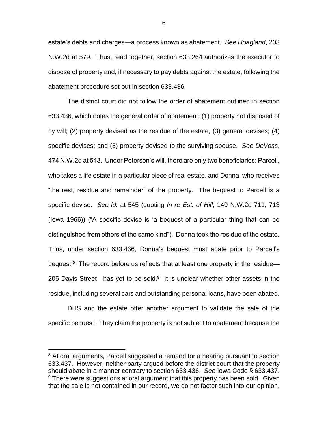estate's debts and charges—a process known as abatement. *See Hoagland*, 203 N.W.2d at 579. Thus, read together, section 633.264 authorizes the executor to dispose of property and, if necessary to pay debts against the estate, following the abatement procedure set out in section 633.436.

The district court did not follow the order of abatement outlined in section 633.436, which notes the general order of abatement: (1) property not disposed of by will; (2) property devised as the residue of the estate, (3) general devises; (4) specific devises; and (5) property devised to the surviving spouse. *See DeVoss*, 474 N.W.2d at 543. Under Peterson's will, there are only two beneficiaries: Parcell, who takes a life estate in a particular piece of real estate, and Donna, who receives "the rest, residue and remainder" of the property. The bequest to Parcell is a specific devise. *See id.* at 545 (quoting *In re Est. of Hill*, 140 N.W.2d 711, 713 (Iowa 1966)) ("A specific devise is 'a bequest of a particular thing that can be distinguished from others of the same kind"). Donna took the residue of the estate. Thus, under section 633.436, Donna's bequest must abate prior to Parcell's bequest.<sup>8</sup> The record before us reflects that at least one property in the residue— 205 Davis Street—has yet to be sold. $9$  It is unclear whether other assets in the residue, including several cars and outstanding personal loans, have been abated.

DHS and the estate offer another argument to validate the sale of the specific bequest. They claim the property is not subject to abatement because the

 $\overline{a}$ 

<sup>&</sup>lt;sup>8</sup> At oral arguments, Parcell suggested a remand for a hearing pursuant to section 633.437. However, neither party argued before the district court that the property should abate in a manner contrary to section 633.436. *See* Iowa Code § 633.437.  $9$  There were suggestions at oral argument that this property has been sold. Given that the sale is not contained in our record, we do not factor such into our opinion.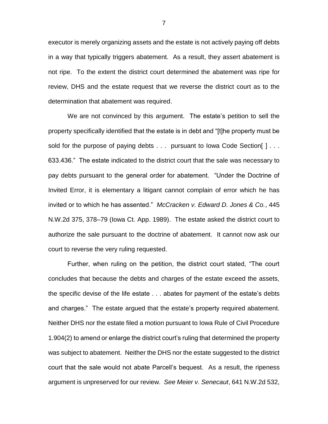executor is merely organizing assets and the estate is not actively paying off debts in a way that typically triggers abatement. As a result, they assert abatement is not ripe. To the extent the district court determined the abatement was ripe for review, DHS and the estate request that we reverse the district court as to the determination that abatement was required.

We are not convinced by this argument. The estate's petition to sell the property specifically identified that the estate is in debt and "[t]he property must be sold for the purpose of paying debts . . . pursuant to Iowa Code Section [ ] . . . 633.436." The estate indicated to the district court that the sale was necessary to pay debts pursuant to the general order for abatement. "Under the Doctrine of Invited Error, it is elementary a litigant cannot complain of error which he has invited or to which he has assented." *McCracken v. Edward D. Jones & Co.*, 445 N.W.2d 375, 378–79 (Iowa Ct. App. 1989). The estate asked the district court to authorize the sale pursuant to the doctrine of abatement. It cannot now ask our court to reverse the very ruling requested.

Further, when ruling on the petition, the district court stated, "The court concludes that because the debts and charges of the estate exceed the assets, the specific devise of the life estate . . . abates for payment of the estate's debts and charges." The estate argued that the estate's property required abatement. Neither DHS nor the estate filed a motion pursuant to Iowa Rule of Civil Procedure 1.904(2) to amend or enlarge the district court's ruling that determined the property was subject to abatement. Neither the DHS nor the estate suggested to the district court that the sale would not abate Parcell's bequest. As a result, the ripeness argument is unpreserved for our review. *See Meier v. Senecaut*, 641 N.W.2d 532,